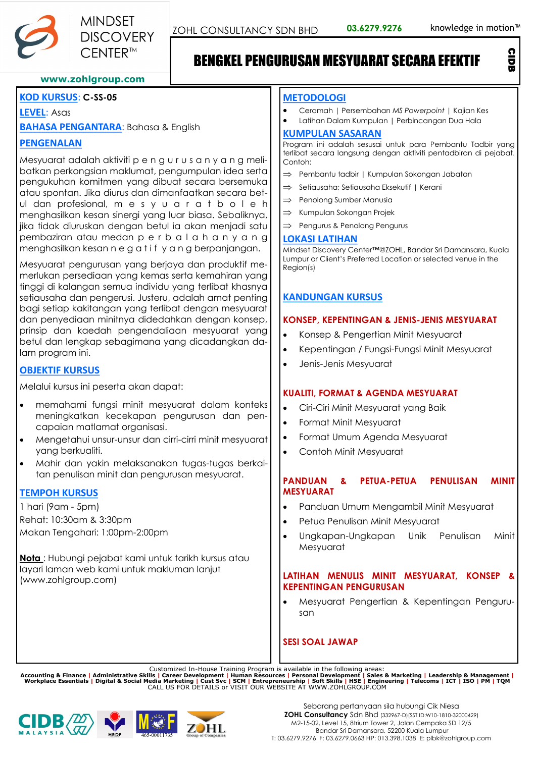CIDB



# BENGKEL PENGURUSAN MESYUARAT SECARA EFEKTIF

### **www.zohlgroup.com**

# **KOD KURSUS**: **C-SS-05**

# **LEVEL**: Asas

**BAHASA PENGANTARA**: Bahasa & English

# **PENGENALAN**

Mesyuarat adalah aktiviti p e n g u r u s a n y a n g melibatkan perkongsian maklumat, pengumpulan idea serta pengukuhan komitmen yang dibuat secara bersemuka atau spontan. Jika diurus dan dimanfaatkan secara betul dan profesional, m e s y u a r a t b o l e h menghasilkan kesan sinergi yang luar biasa. Sebaliknya, jika tidak diuruskan dengan betul ia akan menjadi satu pembaziran atau medan p e r b a l a h a n y a n g menghasilkan kesan n e g a t i f y a n g berpanjangan.

Mesyuarat pengurusan yang berjaya dan produktif memerlukan persediaan yang kemas serta kemahiran yang tinggi di kalangan semua individu yang terlibat khasnya setiausaha dan pengerusi. Justeru, adalah amat penting bagi setiap kakitangan yang terlibat dengan mesyuarat dan penyediaan minitnya didedahkan dengan konsep, prinsip dan kaedah pengendaliaan mesyuarat yang betul dan lengkap sebagimana yang dicadangkan dalam program ini.

# **OBJEKTIF KURSUS**

Melalui kursus ini peserta akan dapat:

- memahami fungsi minit mesyuarat dalam konteks meningkatkan kecekapan pengurusan dan pencapaian matlamat organisasi.
- Mengetahui unsur-unsur dan cirri-cirri minit mesyuarat yang berkualiti.
- Mahir dan yakin melaksanakan tugas-tugas berkaitan penulisan minit dan pengurusan mesyuarat.

# **TEMPOH KURSUS**

1 hari (9am - 5pm) Rehat: 10:30am & 3:30pm Makan Tengahari: 1:00pm-2:00pm

**Nota** : Hubungi pejabat kami untuk tarikh kursus atau layari laman web kami untuk makluman lanjut (www.zohlgroup.com)

#### **METODOLOGI**

- Ceramah | Persembahan *MS Powerpoint |* Kajian Kes
- Latihan Dalam Kumpulan | Perbincangan Dua Hala

### **KUMPULAN SASARAN**

Program ini adalah sesusai untuk para Pembantu Tadbir yang terlibat secara langsung dengan aktiviti pentadbiran di pejabat. Contoh:

- $\Rightarrow$  Pembantu tadbir | Kumpulan Sokongan Jabatan
- $\Rightarrow$  Setiausaha: Setiausaha Eksekutif | Kerani
- $\Rightarrow$  Penolong Sumber Manusia
- $\Rightarrow$  Kumpulan Sokongan Projek
- $\Rightarrow$  Pengurus & Penolong Pengurus

#### **LOKASI LATIHAN**

Mindset Discovery Center™@ZOHL, Bandar Sri Damansara, Kuala Lumpur or Client's Preferred Location or selected venue in the Region(s)

# **KANDUNGAN KURSUS**

## **KONSEP, KEPENTINGAN & JENIS-JENIS MESYUARAT**

- Konsep & Pengertian Minit Mesyuarat
- Kepentingan / Fungsi-Fungsi Minit Mesyuarat
- Jenis-Jenis Mesyuarat

# **KUALITI, FORMAT & AGENDA MESYUARAT**

- Ciri-Ciri Minit Mesyuarat yang Baik
- Format Minit Mesyuarat
- Format Umum Agenda Mesyuarat
- Contoh Minit Mesyuarat

## **PANDUAN & PETUA-PETUA PENULISAN MINIT MESYUARAT**

- Panduan Umum Mengambil Minit Mesyuarat
- Petua Penulisan Minit Mesyuarat
- Ungkapan-Ungkapan Unik Penulisan Minit Mesyuarat

## **LATIHAN MENULIS MINIT MESYUARAT, KONSEP & KEPENTINGAN PENGURUSAN**

• Mesyuarat Pengertian & Kepentingan Pengurusan

# **SESI SOAL JAWAP**

Customized In-House Training Program is available in the following areas:<br>Accounting & Finance | Administrative Skills | Career Development | Human Resources | Personal Development | Sales & Marketing | Leadership & Manage